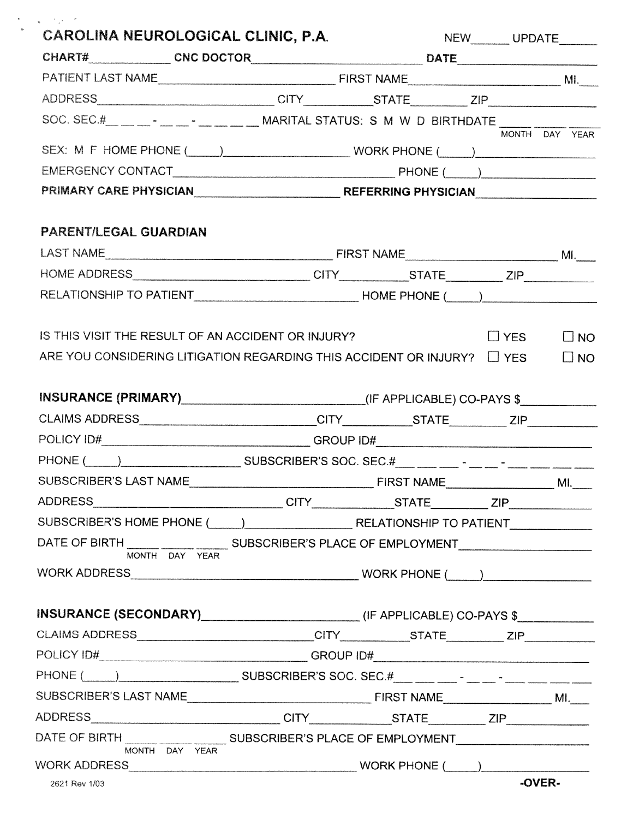| CAROLINA NEUROLOGICAL CLINIC, P.A.                                                                                                 |  |  | NEW________UPDATE_______ |                        |  |  |
|------------------------------------------------------------------------------------------------------------------------------------|--|--|--------------------------|------------------------|--|--|
|                                                                                                                                    |  |  |                          |                        |  |  |
|                                                                                                                                    |  |  |                          |                        |  |  |
|                                                                                                                                    |  |  |                          |                        |  |  |
| SOC. SEC.#____--_--_--_--________________MARITAL STATUS: S M W D BIRTHDATE ___________                                             |  |  |                          |                        |  |  |
|                                                                                                                                    |  |  |                          | MONTH DAY YEAR         |  |  |
|                                                                                                                                    |  |  |                          |                        |  |  |
|                                                                                                                                    |  |  |                          |                        |  |  |
| <b>PARENT/LEGAL GUARDIAN</b>                                                                                                       |  |  |                          |                        |  |  |
|                                                                                                                                    |  |  |                          |                        |  |  |
|                                                                                                                                    |  |  |                          |                        |  |  |
|                                                                                                                                    |  |  |                          |                        |  |  |
| IS THIS VISIT THE RESULT OF AN ACCIDENT OR INJURY?<br>ARE YOU CONSIDERING LITIGATION REGARDING THIS ACCIDENT OR INJURY? $\Box$ YES |  |  | $\Box$ YES               | $\Box$ NO<br>$\Box$ NO |  |  |
| INSURANCE (PRIMARY)____________________________(IF APPLICABLE) CO-PAYS \$_________                                                 |  |  |                          |                        |  |  |
|                                                                                                                                    |  |  |                          |                        |  |  |
| POLICY ID#_________________________________GROUP ID#____________________________                                                   |  |  |                          |                        |  |  |
| PHONE ( ) SUBSCRIBER'S SOC. SEC.#__ _ _ _ - _ _ - _ _ - _ _ _ _ _ _ _                                                              |  |  |                          |                        |  |  |
|                                                                                                                                    |  |  |                          |                        |  |  |
|                                                                                                                                    |  |  |                          |                        |  |  |
| SUBSCRIBER'S HOME PHONE (COMECLE SECRETIONSHIP TO PATIENT CONSIDERATIONS                                                           |  |  |                          |                        |  |  |
| DATE OF BIRTH _____ _____ ________ SUBSCRIBER'S PLACE OF EMPLOYMENT______________<br>MONTH DAY YEAR                                |  |  |                          |                        |  |  |
|                                                                                                                                    |  |  |                          |                        |  |  |
|                                                                                                                                    |  |  |                          |                        |  |  |
|                                                                                                                                    |  |  |                          |                        |  |  |
| POLICY ID#_______________________________GROUP ID#______________________________                                                   |  |  |                          |                        |  |  |
| PHONE ( <u>____) _______________________</u> SUBSCRIBER'S SOC. SEC.#___ ___ ___ - ___ - ___ -__ ___ ___                            |  |  |                          |                        |  |  |
|                                                                                                                                    |  |  |                          |                        |  |  |
|                                                                                                                                    |  |  |                          |                        |  |  |
| DATE OF BIRTH _____ _____ _______ SUBSCRIBER'S PLACE OF EMPLOYMENT______________<br>MONTH DAY YEAR                                 |  |  |                          |                        |  |  |
|                                                                                                                                    |  |  |                          |                        |  |  |
| 2621 Rev 1/03                                                                                                                      |  |  |                          | -OVER-                 |  |  |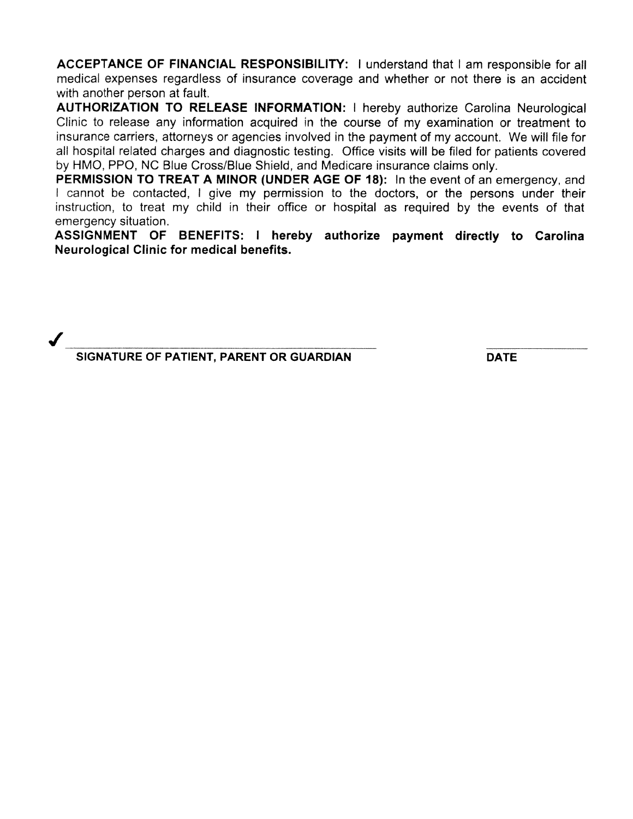ACCEPTANCE OF FINANCIAL RESPONSIBILITY: I understand that I am responsible for all medical expenses regardless of insurance coverage and whether or not there is an accident with another person at fault.

AUTHORIZATION TO RELEASE INFORMATION: <sup>I</sup> hereby authorize Carolina Neurological Clinic to release any information acquired in the course of my examination or treatment to insurance carriers, attorneys or agencies involved in the paymen<sup>t</sup> of my account. We will file for all hospital related charges and diagnostic testing. Office visits will be filed for patients covered by HMO. PPO, NC Blue Cross/Blue Shield, and Medicare insurance claims only.

PERMISSION TO TREAT A MINOR (UNDER AGE OF 18): In the event of an emergency, and / cannot be contacted, I give my permission to the doctors, or the persons under their instruction, to treat my child in their office or hospital as required by the events of that emergency situation.

ASSIGNMENT OF BENEFITS: <sup>I</sup> hereby authorize paymen<sup>t</sup> directly to Carolina Neurological Clinic for medical benefits.

SIGNATURE OF PATIENT, PARENT OR GUARDIAN DATE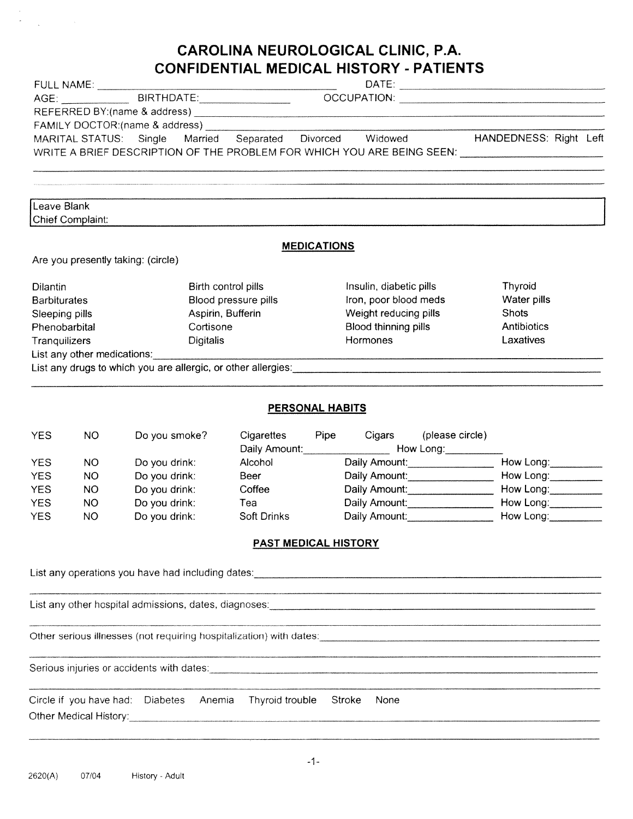# CAROLINA NEUROLOGICAL CLINIC, PA.

|                                                           | FULL NAME: ________________          |                                    |                        |                       |                                                                                                                  |                        |
|-----------------------------------------------------------|--------------------------------------|------------------------------------|------------------------|-----------------------|------------------------------------------------------------------------------------------------------------------|------------------------|
|                                                           |                                      |                                    |                        |                       | AGE: BIRTHDATE: DATE: DATE:                                                                                      |                        |
|                                                           |                                      |                                    |                        |                       |                                                                                                                  |                        |
|                                                           |                                      |                                    |                        |                       | MARITAL STATUS: Single Married Separated Divorced Widowed HANDEDNESS: Right Left                                 |                        |
|                                                           |                                      |                                    |                        |                       | WRITE A BRIEF DESCRIPTION OF THE PROBLEM FOR WHICH YOU ARE BEING SEEN: Under the manner of the set of the mann   |                        |
|                                                           |                                      |                                    |                        |                       |                                                                                                                  |                        |
| Leave Blank                                               | Chief Complaint:                     |                                    |                        |                       |                                                                                                                  |                        |
|                                                           |                                      |                                    |                        | <b>MEDICATIONS</b>    |                                                                                                                  |                        |
|                                                           |                                      | Are you presently taking: (circle) |                        |                       |                                                                                                                  |                        |
| Dilantin                                                  |                                      |                                    | Birth control pills    |                       | Insulin, diabetic pills                                                                                          | Thyroid                |
| <b>Barbiturates</b>                                       |                                      |                                    | Blood pressure pills   |                       | Iron, poor blood meds                                                                                            | Water pills            |
| Aspirin, Bufferin<br>Sleeping pills                       |                                      |                                    |                        | Weight reducing pills | <b>Shots</b>                                                                                                     |                        |
| Phenobarbital<br>Cortisone                                |                                      |                                    |                        | Blood thinning pills  | Antibiotics                                                                                                      |                        |
| Tranquilizers<br>Digitalis<br>List any other medications: |                                      |                                    | Hormones               |                       | Laxatives                                                                                                        |                        |
|                                                           |                                      |                                    |                        |                       | List any drugs to which you are allergic, or other allergies: entitled and an according to the set of the set of |                        |
|                                                           |                                      |                                    |                        |                       |                                                                                                                  |                        |
|                                                           |                                      |                                    | <b>PERSONAL HABITS</b> |                       |                                                                                                                  |                        |
| <b>YES</b>                                                | NO.                                  | Do you smoke?                      |                        |                       | Cigarettes Pipe Cigars<br>(please circle)<br>Daily Amount: Manuel Mow Long: Mow Long:                            |                        |
| <b>YES</b>                                                | NO.                                  | Do you drink:                      | Alcohol <b>Alcohol</b> |                       | Daily Amount:                                                                                                    | How Long:<br>------    |
| <b>YES</b>                                                | NO.                                  | Do you drink:                      | Beer                   |                       | Daily Amount: ___________________________ How Long: ____________                                                 |                        |
| <b>YES</b>                                                | Do you drink:<br><b>NO</b><br>Coffee |                                    | Daily Amount:          | How Long:             |                                                                                                                  |                        |
| <b>YES</b><br><b>YES</b>                                  | <b>NO</b><br><b>NO</b>               | Do you drink:<br>Do you drink:     | Tea<br>Soft Drinks     |                       | Daily Amount:<br>Daily Amount:                                                                                   | How Long:<br>How Long: |
|                                                           |                                      |                                    |                        |                       |                                                                                                                  |                        |
|                                                           |                                      |                                    | PAST MEDICAL HISTORY   |                       |                                                                                                                  |                        |
|                                                           |                                      |                                    |                        |                       |                                                                                                                  |                        |
|                                                           |                                      |                                    |                        |                       |                                                                                                                  |                        |
|                                                           |                                      |                                    |                        |                       |                                                                                                                  |                        |
|                                                           |                                      |                                    |                        |                       | Other serious illnesses (not requiring hospitalization) with dates: [2010] [2010] [2010] [2010] [2010] [2010] [  |                        |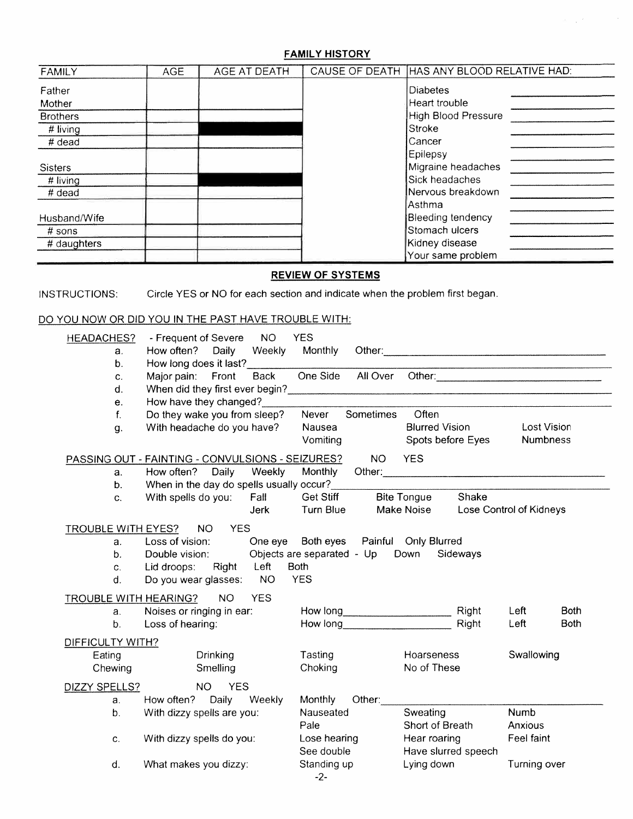## FAMILY HISTORY

| <b>FAMILY</b>   | <b>AGE</b> | <b>AGE AT DEATH</b> | CAUSE OF DEATH HAS ANY BLOOD RELATIVE HAD: |  |
|-----------------|------------|---------------------|--------------------------------------------|--|
| Father          |            |                     | <b>Diabetes</b>                            |  |
| Mother          |            |                     | Heart trouble                              |  |
| <b>Brothers</b> |            |                     | High Blood Pressure                        |  |
| $#$ living      |            |                     | Stroke                                     |  |
| # dead          |            |                     | Cancer                                     |  |
|                 |            |                     | Epilepsy                                   |  |
| <b>Sisters</b>  |            |                     | Migraine headaches                         |  |
| # living        |            |                     | Sick headaches                             |  |
| $#$ dead        |            |                     | Nervous breakdown                          |  |
|                 |            |                     | Asthma                                     |  |
| Husband/Wife    |            |                     | <b>Bleeding tendency</b>                   |  |
| $#$ sons        |            |                     | Stomach ulcers                             |  |
| # daughters     |            |                     | Kidney disease                             |  |
|                 |            |                     | Your same problem                          |  |

## REVIEW OF SYSTEMS

INSTRUCTIONS: Circle YES or NO for each section and indicate when the problem first began.

## DO YOU NOW OR DID YOU IN THE PAST HAVE TROUBLE WITH:

| <b>HEADACHES?</b><br>a.<br>b <sub>1</sub> | - Frequent of Severe NO<br>How often? Daily<br>How long does it last? | Weekly      | <b>YES</b><br>Monthly                    |           |                       |          |                                                                                                                 |             |
|-------------------------------------------|-----------------------------------------------------------------------|-------------|------------------------------------------|-----------|-----------------------|----------|-----------------------------------------------------------------------------------------------------------------|-------------|
| C.                                        | Major pain: Front                                                     | <b>Back</b> | One Side                                 | All Over  |                       |          | Other: when the contract of the contract of the contract of the contract of the contract of the contract of the |             |
| d.                                        | When did they first ever begin?                                       |             |                                          |           |                       |          |                                                                                                                 |             |
| е.                                        | How have they changed?                                                |             |                                          |           |                       |          |                                                                                                                 |             |
| $f_{\cdot}$                               | Do they wake you from sleep?                                          |             | Never                                    | Sometimes | Often                 |          |                                                                                                                 |             |
| g.                                        | With headache do you have?                                            |             | Nausea                                   |           | <b>Blurred Vision</b> |          | <b>Lost Vision</b>                                                                                              |             |
|                                           |                                                                       |             | Vomiting                                 |           | Spots before Eyes     |          | Numbness                                                                                                        |             |
|                                           | PASSING OUT - FAINTING - CONVULSIONS - SEIZURES?                      |             |                                          | NO.       | <b>YES</b>            |          |                                                                                                                 |             |
| a.                                        | How often? Daily                                                      | Weekly      | Monthly                                  |           |                       |          |                                                                                                                 |             |
| b.                                        | When in the day do spells usually occur?                              |             |                                          |           |                       |          |                                                                                                                 |             |
| $C_{\star}$                               | With spells do you: Fall                                              |             | Get Stiff                                |           | <b>Bite Tongue</b>    | Shake    |                                                                                                                 |             |
|                                           |                                                                       | <b>Jerk</b> | Turn Blue                                |           | Make Noise            |          | Lose Control of Kidneys                                                                                         |             |
| TROUBLE WITH EYES? NO                     | <b>YES</b>                                                            |             |                                          |           |                       |          |                                                                                                                 |             |
| a.                                        | Loss of vision:                                                       |             | One eye Both eyes  Painful  Only Blurred |           |                       |          |                                                                                                                 |             |
| b.                                        | Double vision:                                                        |             | Objects are separated - Up Down          |           |                       | Sideways |                                                                                                                 |             |
| C.                                        | Lid droops: Right                                                     | Left        | <b>Both</b><br><b>YES</b>                |           |                       |          |                                                                                                                 |             |
| d.                                        | Do you wear glasses: NO                                               |             |                                          |           |                       |          |                                                                                                                 |             |
|                                           | TROUBLE WITH HEARING? NO                                              | <b>YES</b>  |                                          |           |                       |          |                                                                                                                 |             |
| $a_{\cdot}$                               | Noises or ringing in ear:                                             |             |                                          |           | How long Right        |          | Left                                                                                                            | <b>Both</b> |
| b.                                        | Loss of hearing:                                                      |             | How long                                 |           |                       | Right    | Left                                                                                                            | <b>Both</b> |
| DIFFICULTY WITH?                          |                                                                       |             |                                          |           |                       |          |                                                                                                                 |             |
| Eating                                    | <b>Drinking</b>                                                       |             | Tasting                                  |           | Hoarseness            |          | Swallowing                                                                                                      |             |
| Chewing                                   | Smelling                                                              |             | Choking                                  |           | No of These           |          |                                                                                                                 |             |
| DIZZY SPELLS?                             | NO YES                                                                |             |                                          |           |                       |          |                                                                                                                 |             |
| a <sub>r</sub>                            | How often? Daily Weekly                                               |             | <b>Monthly</b>                           | Other:    |                       |          |                                                                                                                 |             |
| $b_{\cdot}$                               | With dizzy spells are you:                                            |             | Nauseated                                |           | Sweating              |          | <b>Numb</b>                                                                                                     |             |
|                                           |                                                                       |             | Pale                                     |           | Short of Breath       |          | Anxious                                                                                                         |             |
| ${\bf C}.$                                | With dizzy spells do you:                                             |             | Lose hearing                             |           | Hear roaring          |          | Feel faint                                                                                                      |             |
|                                           |                                                                       |             | See double                               |           | Have slurred speech   |          |                                                                                                                 |             |
| d.                                        | What makes you dizzy:                                                 |             | Standing up<br>$-2-$                     |           | Lying down            |          | Turning over                                                                                                    |             |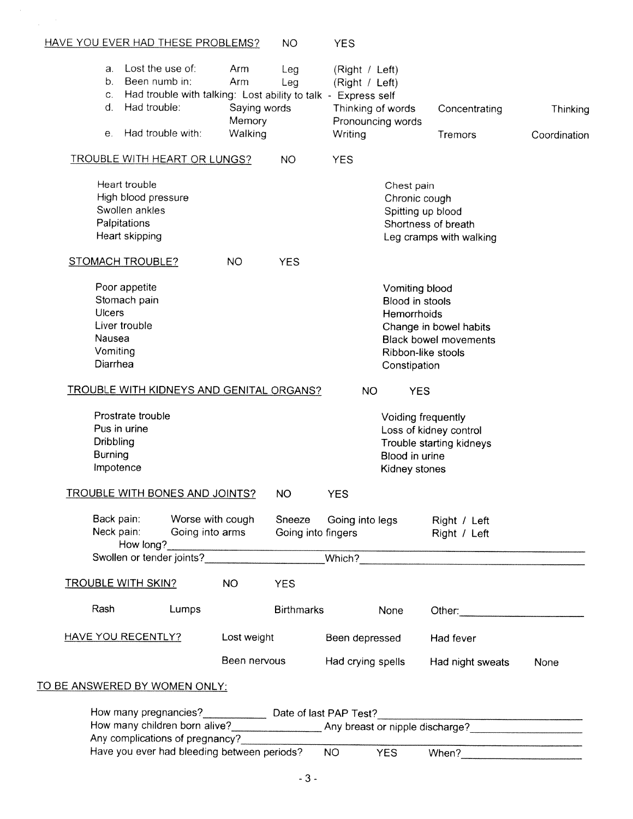|                                      |                                       | Have you ever had bleeding between periods?                   |              |                    | NO <sub>1</sub>        | <b>YES</b>                         |                              |              |
|--------------------------------------|---------------------------------------|---------------------------------------------------------------|--------------|--------------------|------------------------|------------------------------------|------------------------------|--------------|
|                                      |                                       | Any complications of pregnancy?                               |              |                    |                        |                                    |                              |              |
|                                      |                                       |                                                               |              |                    |                        |                                    |                              |              |
|                                      |                                       |                                                               |              |                    |                        |                                    |                              |              |
| <u>TO BE ANSWERED BY WOMEN ONLY:</u> |                                       |                                                               |              |                    |                        |                                    |                              |              |
|                                      |                                       |                                                               | Been nervous |                    | Had crying spells      |                                    | Had night sweats             | None         |
|                                      | <b>HAVE YOU RECENTLY?</b>             |                                                               | Lost weight  |                    | Been depressed         |                                    | Had fever                    |              |
|                                      |                                       |                                                               |              |                    |                        |                                    |                              |              |
| Rash                                 |                                       | Lumps                                                         |              | <b>Birthmarks</b>  |                        | None                               |                              |              |
|                                      | <u>TROUBLE WITH SKIN?</u>             |                                                               | <b>NO</b>    | <b>YES</b>         |                        |                                    |                              |              |
|                                      |                                       |                                                               |              |                    |                        |                                    |                              |              |
|                                      |                                       |                                                               |              |                    |                        |                                    | Right / Left                 |              |
|                                      | Back pain:<br>Neck pain:              | Worse with cough<br>Going into arms                           |              | Going into fingers | Sneeze Going into legs |                                    | Right / Left                 |              |
|                                      |                                       | <b>TROUBLE WITH BONES AND JOINTS?</b>                         |              | NO                 | <b>YES</b>             |                                    |                              |              |
|                                      |                                       |                                                               |              |                    |                        | Kidney stones                      |                              |              |
|                                      | <b>Burning</b><br>Impotence           |                                                               |              |                    |                        | Blood in urine                     |                              |              |
|                                      | Dribbling                             |                                                               |              |                    |                        |                                    | Trouble starting kidneys     |              |
|                                      | Pus in urine                          |                                                               |              |                    |                        |                                    | Loss of kidney control       |              |
|                                      | Prostrate trouble                     |                                                               |              |                    |                        | Voiding frequently                 |                              |              |
|                                      |                                       | <b>TROUBLE WITH KIDNEYS AND GENITAL ORGANS?</b>               |              |                    | <b>NO</b>              | <b>YES</b>                         |                              |              |
|                                      | Diarrhea                              |                                                               |              |                    |                        | Constipation                       |                              |              |
|                                      | Vomiting                              |                                                               |              |                    |                        | Ribbon-like stools                 |                              |              |
|                                      | Nausea                                |                                                               |              |                    |                        |                                    | <b>Black bowel movements</b> |              |
|                                      | Liver trouble                         |                                                               |              |                    |                        |                                    | Change in bowel habits       |              |
| Ulcers                               | Stomach pain                          |                                                               |              |                    |                        | Blood in stools<br>Hemorrhoids     |                              |              |
|                                      | Poor appetite                         |                                                               |              |                    |                        | Vomiting blood                     |                              |              |
|                                      |                                       |                                                               |              |                    |                        |                                    |                              |              |
|                                      | <b>STOMACH TROUBLE?</b>               |                                                               | NO           | <b>YES</b>         |                        |                                    |                              |              |
|                                      | Heart skipping                        |                                                               |              |                    |                        |                                    | Leg cramps with walking      |              |
|                                      | Palpitations                          |                                                               |              |                    |                        |                                    | Shortness of breath          |              |
|                                      | High blood pressure<br>Swollen ankles |                                                               |              |                    |                        | Chronic cough<br>Spitting up blood |                              |              |
|                                      | Heart trouble                         |                                                               |              |                    |                        | Chest pain                         |                              |              |
|                                      |                                       |                                                               |              |                    |                        |                                    |                              |              |
|                                      |                                       | <b>TROUBLE WITH HEART OR LUNGS?</b>                           |              | <b>NO</b>          | <b>YES</b>             |                                    |                              |              |
| е.                                   | Had trouble with:                     |                                                               | Walking      |                    | Writing                |                                    | Tremors                      | Coordination |
|                                      |                                       |                                                               | Memory       |                    | Thinking of words      | Pronouncing words                  | Concentrating                | Thinking     |
|                                      | C.<br>$\mathbf{d}$ .<br>Had trouble:  | Had trouble with talking: Lost ability to talk - Express self | Saying words |                    |                        |                                    |                              |              |
|                                      | Been numb in:<br>b.                   |                                                               | Arm          | Leg                | (Right / Left)         |                                    |                              |              |
|                                      | Lost the use of:<br>a.                |                                                               | Arm          | Leg                | (Right / Left)         |                                    |                              |              |
|                                      |                                       |                                                               |              |                    |                        |                                    |                              |              |
|                                      |                                       | HAVE YOU EVER HAD THESE PROBLEMS?                             |              | <b>NO</b>          | <b>YES</b>             |                                    |                              |              |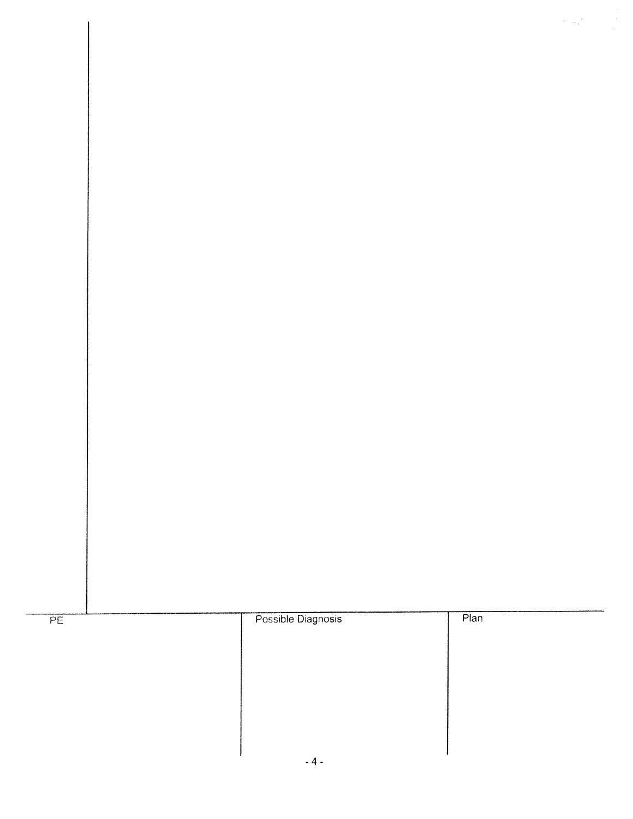

 $\label{eq:2} \frac{1}{2}\left(\frac{1}{2}\right)^2\left(\frac{1}{2}\right)^2\left(\frac{1}{2}\right)^2.$ 



Possible Diagnosis

 $P$ lan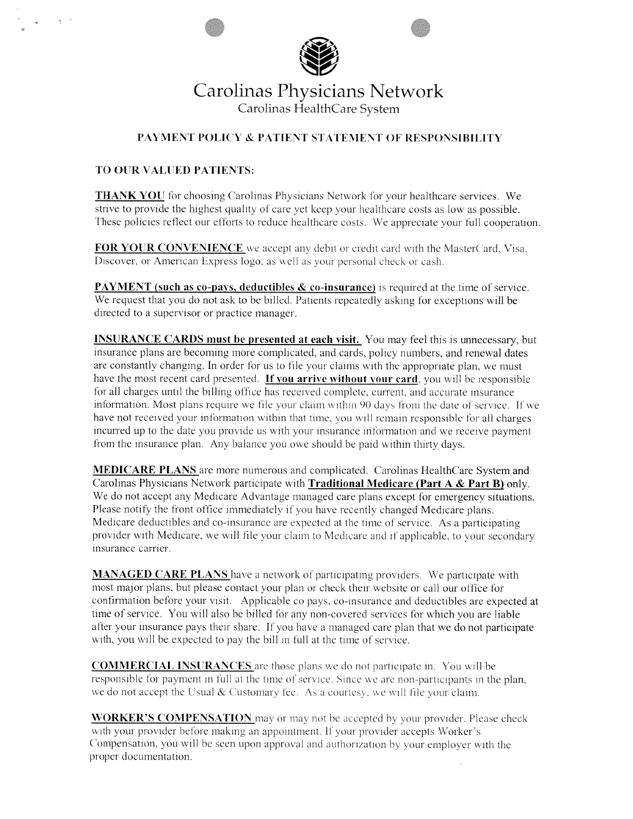

## Carolinas Physicians Network Carolinas HealthCare System

## PAYMENT POLICY & PATIENT STATEMENT OF RESPONSIBILITY

## TO OUR VALUED PATIENTS:

**THANK YOU** for choosing Carolinas Physicians Network for your healthcare services. We strive to provide the highest quality of care yet keep your healthcare costs as low as possible. These policies reflect our efforts to reduce healthcare costs. We appreciate your full cooperation.

FOR YOUR CONVENIENCE we accept any debit or credit card with the MasterCard, Visa, Discover, or American Express logo, as well as your personal check or cash.

**PAYMENT** (such as co-pays, deductibles & co-insurance) is required at the time of service. We request that you do not ask to be billed. Patients repeatedly asking for exceptions will be directed to <sup>a</sup> supervisor or practice manager.

INSURANCE CARDS must be presented at each visit. You may feel this is unnecessary. but insurance <sup>p</sup>lans are becoming more complicated, and cards. policy numbers, and renewal dates are constantly changing. In order for us to file your claims with the appropriate plan, we must have the most recent card presented. If you arrive without your card, you will be responsible for all charges until the hilling office has received complete. current. and accurate insurance information. Most plans require we file your claim within 90 days from the date of service. If we have not received your information within that time, you will remain responsible for all charges incurred up to the date you provide us with your insurance information and we receive paymen<sup>t</sup> from the insurance <sup>p</sup>lan. Any balance you owe should be paid within thirty days.

**MEDICARE PLANS** are more numerous and complicated. Carolinas HealthCare System and Carolinas Physicians Network participate with Traditional Medicare (Part <sup>A</sup> & Part B) only. We do not accep<sup>t</sup> any Medicare Advantage managed care <sup>p</sup>lans excep<sup>t</sup> for emergency situations. Please notify the front office immediately if you have recently changed Medicare plans. Medicare deductibles and co-insurance are expected at the time of service. As <sup>a</sup> participating provider with Medicare. ve skill tile your claim to Medicare and if applicable, to your secondary insurance carrier.

MANAGED CARE PLANS have a network of participating providers. We participate with most major plans, but please contact your plan or check their website or call our office for confirmation before your visit. Applicable co pays, co-insurance and deductibles are expected at time of service. You will also be billed for any non-covered services for which you are liable after your insurance pays their share. If you have a managed care plan that we do not participate with, you will be expected to pay the bill in full at the time of service.

**COMMERCIAL INSURANCES** are those plans we do not participate in. You will be responsible for payment in full at the time of service. Since we are non-participants in the plan. we do not accept the Usual  $&$  Customary fee. As a courtesy, we will file your claim.

**WORKER'S COMPENSATION** may or may not be accepted by your provider. Please check with your provider before making an appointment. If your provider accepts Worker's Compensation, you will be seen upon approval and authorization by your employer with the proper documentation.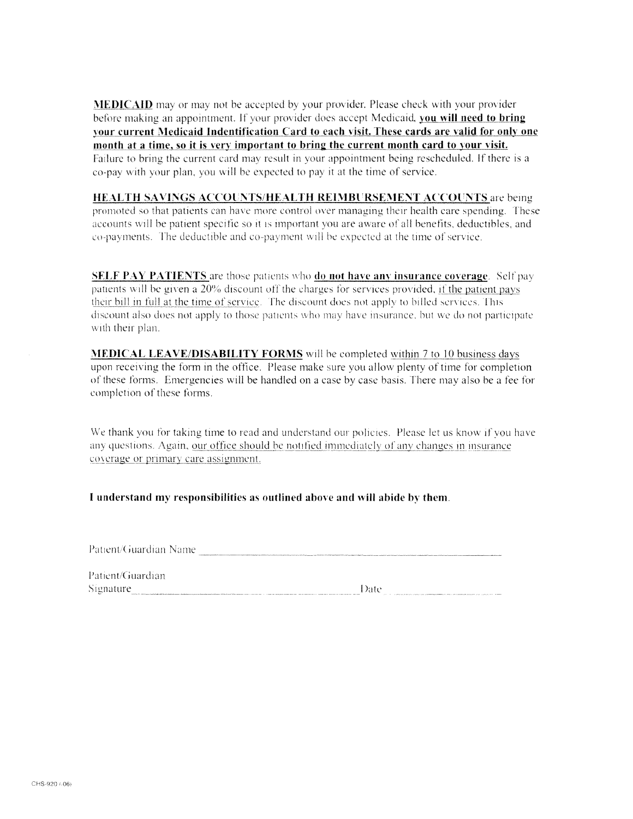**MEDICAID** may or may not be accepted by your provider. Please check with your provider before making an appointment. If your provider does accept Medicaid, you will need to bring your current Medicaid Indentification Card to each visit. These cards are valid for only one month at a time, so it is very important to bring the current month card to your visit. Failure to bring the current card may result in your appointment being rescheduled. If there is a co-pay with your plan, you will be expected to pay it at the time of service.

**HEALTH SAVINGS ACCOUNTS/HEALTH REIMBURSEMENT ACCOUNTS are being** promoted so that patients can have more control over managing their health care spending. These accounts will be patient specific so it is important you are aware of all benefits, deductibles, and co-payments. The deductible and co-payment will be expected at the time of service.

**SELF PAY PATIENTS** are those patients who **do not have any insurance coverage**. Self pay patients will be given a 20% discount off the charges for services provided, if the patient pays their bill in full at the time of service. The discount does not apply to billed services. This discount also does not apply to those patients who may have insurance, but we do not participate with their plan.

**MEDICAL LEAVE/DISABILITY FORMS** will be completed within 7 to 10 business days upon receiving the form in the office. Please make sure you allow plenty of time for completion of these forms. Emergencies will be handled on a case by case basis. There may also be a fee for completion of these forms.

We thank you for taking time to read and understand our policies. Please let us know if you have any questions. Again, our office should be notified immediately of any changes in insurance coverage or primary care assignment.

#### I understand my responsibilities as outlined above and will abide by them.

Patient/Guardian Name

| Patient/Guardian |      |
|------------------|------|
| Signature        | Date |
|                  |      |